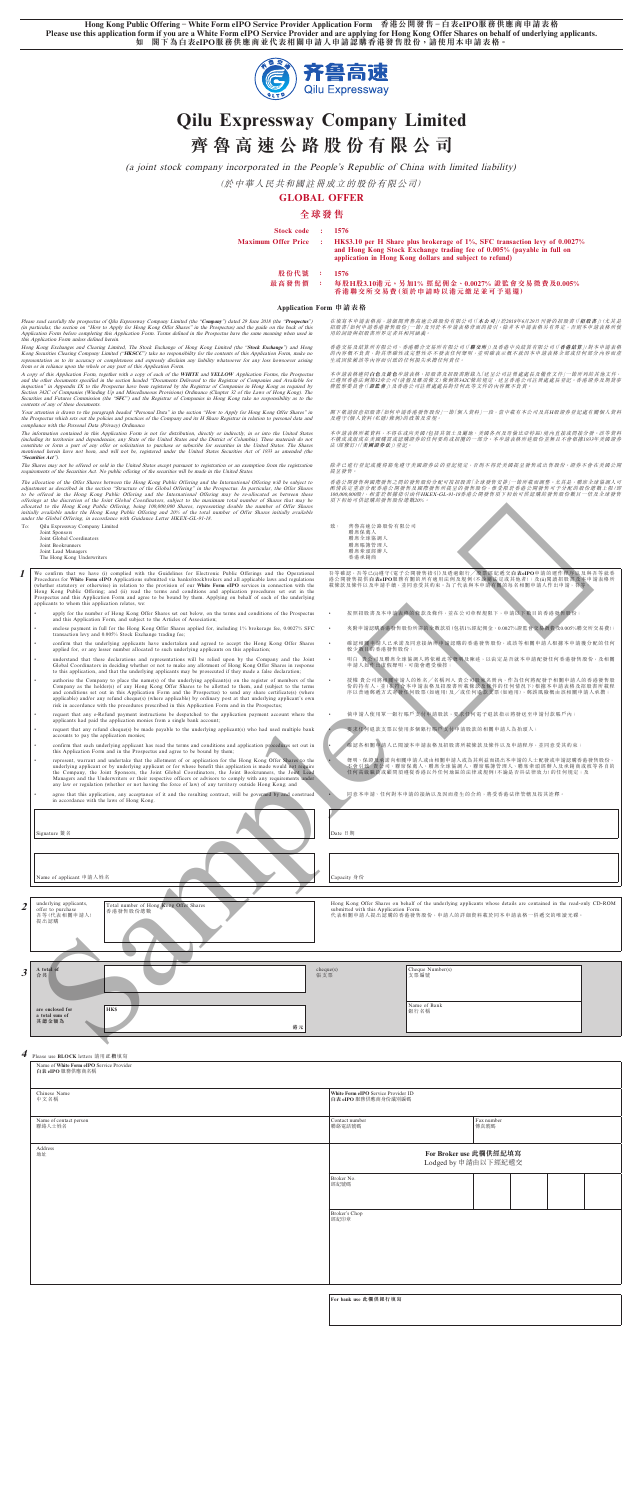**Hong Kong Public Offering – White Form eIPO Service Provider Application Form 香港公開發售 – 白表eIPO服務供應商申請表格** Please use this application form if you are a White Form eIPO Service Provider and are applying for Hong Kong Offer Shares on behalf of underlying applicants.<br>如 閣下為白表eIPO服務供應商並代表相關申請人申請認購香港發售股份,請使用本申請表格。 **如 閣下為白表eIPO服務供應商並代表相關申請人申請認購香港發售股份,請使用本申請表格。**



# **Qilu Expressway Company Limited**

# **齊魯高速公路股份有限公司**

(a joint stock company incorporated in the People's Republic of China with limited liability)

(於中華人民共和國註冊成立的股份有限公司)

**GLOBAL OFFER**

# **全球發售**

| Stock code :<br><b>Maximum Offer Price</b> | $\mathcal{L}$ | -1576<br>HK\$3.10 per H Share plus brokerage of 1%, SFC transaction levy of 0.0027%<br>and Hong Kong Stock Exchange trading fee of 0.005% (payable in full on<br>application in Hong Kong dollars and subject to refund) |
|--------------------------------------------|---------------|--------------------------------------------------------------------------------------------------------------------------------------------------------------------------------------------------------------------------|
| 股份代號                                       |               | 1576                                                                                                                                                                                                                     |
| 最高發售價                                      |               | 每股H股3.10港元,另加1%經紀佣金、0.0027%證監會交易徵費及0.005%<br>香港聯交所交易費(須於申請時以港元繳足並可予退還)                                                                                                                                                   |

#### **Application Form 申請表格**

Please read carefully the prospectus of Qilu Expressway Company Limited (the "Company") dated 29 June 2018 (the "**Prospectus**") can particular, the section on "How to Apply for Hong Kong Offer Shares" in the Prospectus) an

Hong Kong Exchanges and Clearing Limited, The Stock Exchange of Hong Kong Limited (the "Stock Exchange") and Hong<br>Kong Securities Clearing Company Limited ("HKSCC") take no responsibility for the contents of this Applicati

A copy of this Appleation Form, together with a copy of each of the WHITE and YELLOW Application Forms, the Propectual<br>and the other documents specified in the section headed "Documents Delivered to the Registrar of Compan contents of any of these documents.

Your attention is drawn to the paragraph headed "Personal Data" in the section "How to Apply for Hong Kong Offer Shares" in the Prospectus which sets out the policies and practices of the Company and its H Share Registrar in relation to personal data and<br>compliance with the Personal Data (Privacy) Ordinance.

The information contained in this Application Form is not for distribution, directly or indirectly, in or into the United States<br>(including its territories and dependencies, any State of the United States and the District

"Securities Act").<br>The Shares may not be offered or sold in the United States except pursuant to registration or an exemption from the registration<br>requirements of the Securities Act. No public offering of the securities w

The allocation of the Offer Shares between the Hong Kong Public Offering and the International Offering will be subject to digital and the international Offering and the Dipertical and the Scheme of the Cibbal Offering" in

除非已進行登記或獲得豁免遵守美國證券法的登記規定,否則不得於美國提呈發售或出售股份。證券不會在美國公開 提呈發售。

香港公開發售與國際發售之間的發售股份分配可按招股書「全球發售安排」一節所載而調整。尤其是,聯席全球協調人可<br>酌情決定重新分配香港公開發售及國際發售所提呈的發售股份,惟受限於香港公開發售可予分配的股份總數上限(即<br>100,000,000股),相當於根據指引函件HKEX-GL-91-18香港公開發售項下初始可供認購的發售股份數目一倍及全球發售

- **I** We confirm that we have (i) complied with the Guidelines for Electronic Public Offerings and the Operational Procedures for White Form eIPO Applications submitted via banks/stockbrokers and all applicable laws and regu
	- apply for the number of Hong Kong Offer Shares set out below, on the terms and conditions of the Prospectus and this Application Form, and subject to the Articles of Association;
	- enclose payment in full for the Hong Kong Offer Shares applied for, including 1% brokerage fee, 0.0027% SFC transaction levy and 0.005% Stock Exchange trading fee;
	- confirm that the underlying applicants have undertaken and agreed to accept the Hong Kong Offer Shares applied for, or any lesser number allocated to such underlying applicants on this application;
	- understand that these declarations and representations will be relied upon by the Company and the Joint<br>Global Coordinators in deciding whether or not to make any allotment of Hong Kong Offer Shares in response<br>to this app
	- **Company as the holder(s)** place the name(s) of the underlying applicant(s) on the register of members of the company as the holder(s) of any Hong Kong Offer Shares to be allotted to them, and (subject to the terms and con
	- request that any e-Refund payment instructions be despatched to the application payment account where the applicants had paid the application monies from a single bank account;
	- request that any refund cheque(s) be made payable to the underlying applicant(s) who had used multiple bank accounts to pay the application monies;
	- confirm that each underlying applicant has read the terms and conditions and application procedures set out in this Application Form and in the Prospectus and agree to be bound by them;
	- erepresent, warrant and undertake that the allotment of or application for the Hong Kong Offer Shares to the<br>underlying applicant or by underlying applicant or for whose benefit this application is made would not require<br>t
	- agree that this application, any acceptance of it and the resulting contract, will be governed by and construed in accordance with the laws of Hong Kong.

**Signature 簽名** Date 日期 **Name of applicant 申請人姓名 Capacity 身份** 

在填寫本申請表格前,請細閱齊魯高速公路股份有限公司(「**本公司**」)於2018年6月29日刊發的招股書(「**招股書**」)(尤其是<br>招股書「如何申請香港發售股份」一節)及刊於本申請表格背面的指引。除非本申請表格另有界定,否則本申請表格所使<br>用的詞語與招股書所界定者具相同謫義。

香港交易及結算所有限公司、香港聯合交易所有限公司(「**聯交所**」)及香港中央結算有限公司(「**香港結算**」)對本申請表格<br>的內容概不負責,對其準確性或完整性亦不發表任何專明,並明確表示概不就因本申請表格全部或任何部分內容而產<br>生或因依賴該等內容而引致的任何損失承擔任何責任。

本申請表格通向**白色**及黃色申請表格、招股書及招股書附錄九 | 送呈公司註冊處處長及備查文件」一節所列的其他文件,<br>已遵照香港法例第32章公司 (清盤及雜項條文) 條例第342C條的規定, 送呈香港公司註冊處處長登記。香港證券及期貸事<br>務監察委員會 (「證**監會**」)及香港公司註冊處處長對任何此等文件的內容概不負責。

閣下敬請出意捐股書||如何申請香港發售股份」一節| 個人資料」一段,當中載有本公司及其H股證券登記處有關個人資料<br>及遵守《個人資料 (私隱) 條例》的政策及常規。

本申請表格所載資料,不得在或向美國(包括其領土及屬地、美國各州及哥倫比亞特區)境內直接或間接分發。該等資料<br>不精成或组成在美國購買或認購證券的任何要約或招攬的一部分。本申請表格所述股份並無且不會根據1933年美國證券<br>法(經修訂)(「**美國證券法**」)登記。

Hong Kong Offer Shares on behalf of the underlying applicants whose details are contained in the read-only CD-ROM Appl

 $2 \mid \frac{\text{underlying applicants}}{\text{offer to purchase}}$ 

To: Qilu Expressway Company Limited

Joint Sponsors Joint Global Coordinators

Joint Bookrunners Joint Lead Managers The Hong Kong Underwriters

- 
- 致: 齊魯高速公路股份有限公司 聯席保薦人 聯席全球協調人 聯席賬簿管理人 聯席牽頭經辦人 香港承銷商

吾等確認,吾等已(i)遵守《電子公開發售指引》及透過銀行/股票經紀邀交**白表eIPO**申請的運作程序以及與吾等就香<br>港公開發售提供**白表eIP**®服務有關的所有適用法例及規例(不論屬法定或其他者);及(ii)閱讀招股書及本申請表格所<br>載條款及條件以及申請手續,並同意受其約束。為了代表與本申請有關的每名相關申請人作出申請,吾等:

- 按照招股書及本申請表格的條款及條件,並在公司章程規限下,申請以下數目的香港發售股份;
- 夾附申請認購香港發售股份所需的全數款項(包括1%經紀佣金、0.0027%證監會交易徵費及0.005%聯交所交易費);
- 確認相關申請人已來諾及同意接納所甲請認購的香港發售股份,或該等相關甲請人根據本申請獲分配的仕何<br>較少數目的香港發售股份;
- 明白 貴公司及聯席全球協調人將依賴此等聲明及陳述,以決定是否就本申請配發任何香港發售股份,及相關<br>— 申請人如作出虛假聲明,可能會遭受檢控;
- 授權 貴公司將相關申請人的姓名/名稱列入 貴公司股東名冊內,作為任何將配發予相關申請人的香港發售股<br>份的持有人, 並(在符合本申請表格及招股責所載條款及條件的任何情況下)根據本申請表格及招股書所載程<br>序以普通郵鑑方式寄發任何股票(如適用)及/或任何退款支票(如適用),郵誤風險概由該相關申請人承擔;
	- 倘申請人使用單一銀行賬戶支付申請股款,要求任何電子退款指示將發送至申請付款賬戶內;
	- 要求任何退款支票以使用多個銀行賬戶支付申請股款的相關申請人為抬頭人;
	- 確認各相關申請人已閱讀本申請表格及招股書所載條款及條件以及申請程序,並同意受其約束;
- 聲明、保證及承諾向相關申請人或由相關申請人或為其利益而提出本申請的人士配發或申請認購香港發售股份, 不會引致 貴公司、聯席保薦人、聯席全球協調人、聯席賬簿管理人、聯席牽頭經辦人及承銷商或彼等各自的 任何高級職員或顧問須遵從香港以外任何地區的法律或規例(不論是否具法律效力)的任何規定;及

• 同意本申請、任何對本申請的接納以及因而產生的合約,將受香港法律管轄及按其詮釋。

Total number of Hong Kong Offer Shares 香港發售股份總數



| 白表 eIPO 服務供應商名稱                  |                                                            |                    |  |  |  |
|----------------------------------|------------------------------------------------------------|--------------------|--|--|--|
| Chinese Name<br>中文名稱             | White Form eIPO Service Provider ID<br>白表 eIPO 服務供應商身份識別編碼 |                    |  |  |  |
| Name of contact person<br>聯絡人士姓名 | Contact number<br>聯絡電話號碼                                   | Fax number<br>傳真號碼 |  |  |  |
| Address<br>地址                    | For Broker use 此欄供經紀填寫<br>Lodged by 申請由以下經紀遞交              |                    |  |  |  |
|                                  | Broker No.<br>經紀號碼                                         |                    |  |  |  |
|                                  | Broker's Chop<br>經紀印章                                      |                    |  |  |  |
|                                  |                                                            |                    |  |  |  |
|                                  |                                                            |                    |  |  |  |

| For bank use 此欄供銀行填寫 |
|----------------------|
|----------------------|